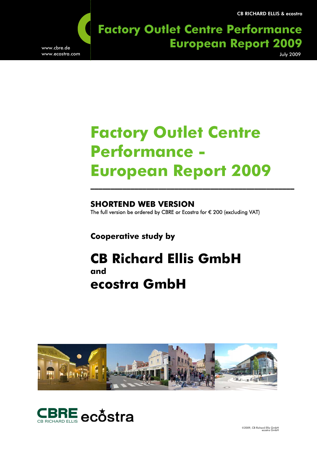CB RICHARD ELLIS & ecostra

**Factory Outlet Centre Performance** ww.cbre.de **Residential Market Germany European Report 2009** July 2009

www.ecostra.com

# **Factory Outlet Centre Performance - European Report 2009**

 **SHORTEND WEB VERSION**  The full version be ordered by CBRE or Ecostra for € 200 (excluding VAT)

 **Cooperative study by** 

## **CB Richard Ellis GmbH and ecostra GmbH**



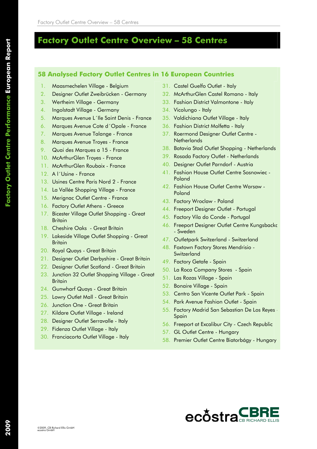## **Factory Outlet Centre Overview – 58 Centres**

#### **58 Analysed Factory Outlet Centres in 16 European Countries**

- 1. Maasmechelen Village Belgium
- 2. Designer Outlet Zweibrücken Germany
- 3. Wertheim Village Germany
- 4. Ingolstadt Village Germany
- 5. Marques Avenue L´Ile Saint Denis France
- 6. Marques Avenue Cote d´Opale France
- 7. Marques Avenue Talange France
- 8. Marques Avenue Troyes France
- 9. Quai des Marques a 15 France
- 10. McArthurGlen Troyes France
- 11. McArthurGlen Roubaix France
- 12. A l´Usine France
- 13. Usines Centre Paris Nord 2 France
- 14. La Vallée Shopping Village France
- 15. Merignac Outlet Centre France
- 16. Factory Outlet Athens Greece
- 17. Bicester Village Outlet Shopping Great **Britain**
- 18. Cheshire Oaks Great Britain
- 19. Lakeside Village Outlet Shopping Great **Britain**
- 20. Royal Quays Great Britain
- 21. Designer Outlet Derbyshire Great Britain
- 22. Designer Outlet Scotland Great Britain
- 23. Junction 32 Outlet Shopping Village Great **Britain**
- 24. Gunwharf Quays Great Britain
- 25. Lowry Outlet Mall Great Britain
- 26. Junction One Great Britain
- 27. Kildare Outlet Village Ireland
- 28. Designer Outlet Serravalle Italy
- 29. Fidenza Outlet Village Italy
- 30. Franciacorta Outlet Village Italy
- 31. Castel Guelfo Outlet Italy
- 32. McArthurGlen Castel Romano Italy
- 33. Fashion District Valmontone Italy
- 34. Vicolungo Italy
- 35. Valdichiana Outlet Village Italy
- 36. Fashion District Molfetta Italy
- 37. Roermond Designer Outlet Centre **Netherlands**
- 38. Batavia Stad Outlet Shopping Netherlands
- 39. Rosada Factory Outlet Netherlands
- 40. Designer Outlet Parndorf Austria
- 41. Fashion House Outlet Centre Sosnowiec Poland
- 42. Fashion House Outlet Centre Warsaw Poland
- 43. Factory Wroclaw Poland
- 44. Freeport Designer Outlet Portugal
- 45. Factory Vila do Conde Portugal
- 46. Freeport Designer Outlet Centre Kungsbacka - Sweden
- 47. Outletpark Switzerland Switzerland
- 48. Foxtown Factory Stores Mendrisio **Switzerland**
- 49. Factory Getafe Spain
- 50. La Roca Company Stores Spain
- 51. Las Rozas Village Spain
- 52. Bonaire Village Spain
- 53. Centro San Vicente Outlet Park Spain
- 54. Park Avenue Fashion Outlet Spain
- 55. Factory Madrid San Sebastian De Los Reyes Spain
- 56. Freeport at Excalibur City Czech Republic
- 57. GL Outlet Centre Hungary
- 58. Premier Outlet Centre Biatorbágy Hungary

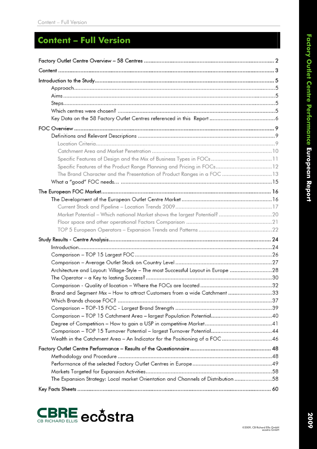## **Content – Full Version**

| Specific Features of the Product Range Planning and Pricing in FOCs 12             |
|------------------------------------------------------------------------------------|
| The Brand Character and the Presentation of Product Ranges in a FOC  13            |
|                                                                                    |
|                                                                                    |
|                                                                                    |
|                                                                                    |
| Market Potential - Which national Market shows the largest Potential? 20           |
|                                                                                    |
|                                                                                    |
|                                                                                    |
|                                                                                    |
|                                                                                    |
|                                                                                    |
| Architecture and Layout: Village-Style – The most Successful Layout in Europe 28   |
|                                                                                    |
|                                                                                    |
| Brand and Segment Mix - How to attract Customers from a wide Catchment 33          |
|                                                                                    |
|                                                                                    |
|                                                                                    |
|                                                                                    |
|                                                                                    |
|                                                                                    |
|                                                                                    |
|                                                                                    |
|                                                                                    |
|                                                                                    |
| 5858 The Expansion Strategy: Local market Orientation and Channels of Distribution |
|                                                                                    |

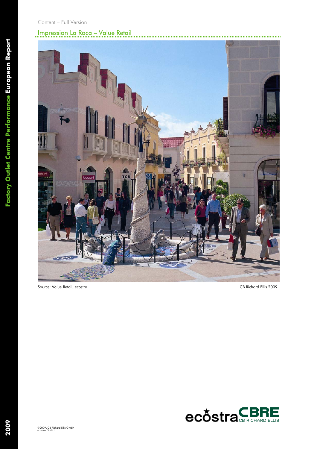## Impression La Roca – Value Retail



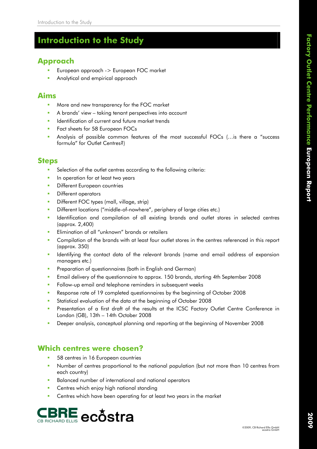## **Introduction to the Study**

## **Approach**

- European approach -> European FOC market
- Analytical and empirical approach

### **Aims**

- More and new transparency for the FOC market
- **A** brands' view taking tenant perspectives into account
- **IDENT** Identification of current and future market trends
- **Fact sheets for 58 European FOCs**
- Analysis of possible common features of the most successful FOCs (…is there a "success formula" for Outlet Centres?)

#### **Steps**

- Selection of the outlet centres according to the following criteria:
- **In operation for at least two years**
- **Different European countries**
- **Different operators**
- **Different FOC types (mall, village, strip)**
- Different locations ("middle-of-nowhere", periphery of large cities etc.)
- **IDENTIFY IDENTIFY IDENTIFY IS A LIGAT LARK IS EXECUTE:** In selected centres (approx. 2,400)
- **Elimination of all "unknown" brands or retailers**
- **Compilation of the brands with at least four outlet stores in the centres referenced in this report** (approx. 350)
- **IDENT IDENT THE CONTACT CONTACT ADDET** IDENTIFYING INCOLLED **I**n the contract of expansion managers etc.)
- **Preparation of questionnaires (both in English and German)**
- Email delivery of the questionnaire to approx. 150 brands, starting 4th September 2008
- **Follow-up email and telephone reminders in subsequent weeks**
- Response rate of 19 completed questionnaires by the beginning of October 2008
- Statistical evaluation of the data at the beginning of October 2008
- **Presentation of a first draft of the results at the ICSC Factory Outlet Centre Conference in** London (GB), 13th – 14th October 2008
- Deeper analysis, conceptual planning and reporting at the beginning of November 2008

#### **Which centres were chosen?**

- 58 centres in 16 European countries
- Number of centres proportional to the national population (but not more than 10 centres from each country)
- **Balanced number of international and national operators**
- **Centres which enjoy high national standing**
- **EXEC** Centres which have been operating for at least two years in the market

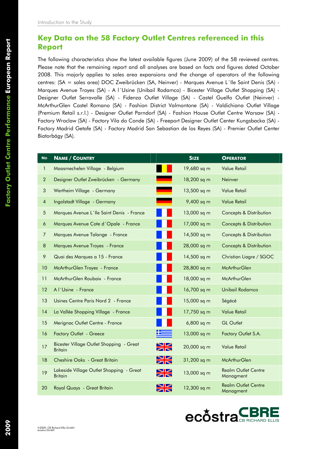#### **Key Data on the 58 Factory Outlet Centres referenced in this Report**

The following characteristics show the latest available figures (June 2009) of the 58 reviewed centres. Please note that the remaining report and all analyses are based on facts and figures dated October 2008. This majorly applies to sales area expansions and the change of operators of the following centres: (SA = sales area) DOC Zweibrücken (SA, Neinver) - Marques Avenue L´Ile Saint Denis (SA) - Marques Avenue Troyes (SA) - A l´Usine (Unibail Rodamco) - Bicester Village Outlet Shopping (SA) - Designer Outlet Serravalle (SA) - Fidenza Outlet Village (SA) - Castel Guelfo Outlet (Neinver) - McArthurGlen Castel Romano (SA) - Fashion District Valmontone (SA) - Valdichiana Outlet Village (Premium Retail s.r.l.) - Designer Outlet Parndorf (SA) - Fashion House Outlet Centre Warsaw (SA) - Factory Wroclaw (SA) - Factory Vila do Conde (SA) - Freeport Designer Outlet Center Kungsbacka (SA) - Factory Madrid Getafe (SA) - Factory Madrid San Sebastian de los Reyes (SA) - Premier Outlet Center Biatorbágy (SA).

| <b>No</b>      | <b>NAME / COUNTRY</b>                                      |         | <b>SIZE</b>  | <b>OPERATOR</b>                         |
|----------------|------------------------------------------------------------|---------|--------------|-----------------------------------------|
| 1              | Maasmechelen Village - Belgium                             |         | 19,680 sq m  | <b>Value Retail</b>                     |
| $\overline{2}$ | Designer Outlet Zweibrücken - Germany                      |         | 18,200 sq m  | Neinver                                 |
| 3              | Wertheim Village - Germany                                 |         | 13,500 sq m  | <b>Value Retail</b>                     |
| $\overline{4}$ | Ingolstadt Village - Germany                               |         | 9,400 sq m   | <b>Value Retail</b>                     |
| 5              | Marques Avenue L'Ile Saint Denis - France                  |         | 13,000 sq m  | <b>Concepts &amp; Distribution</b>      |
| 6              | Marques Avenue Cote d'Opale - France                       |         | 17,000 sq m  | <b>Concepts &amp; Distribution</b>      |
| 7              | Marques Avenue Talange - France                            |         | 14,500 sq m  | <b>Concepts &amp; Distribution</b>      |
| 8              | Marques Avenue Troyes - France                             |         | 28,000 sq m  | <b>Concepts &amp; Distribution</b>      |
| 9              | Quai des Marques a 15 - France                             |         | 14,500 sq m  | Christian Liagre / SGOC                 |
| 10             | McArthurGlen Troyes - France                               |         | 28,800 sq m  | <b>McArthurGlen</b>                     |
| 11             | McArthurGlen Roubaix - France                              |         | 18,000 sq m  | <b>McArthurGlen</b>                     |
| 12             | Al'Usine - France                                          |         | 16,700 sq m  | <b>Unibail Rodamco</b>                  |
| 13             | Usines Centre Paris Nord 2 - France                        |         | 15,000 sq m  | Ségécé                                  |
| 14             | La Vallée Shopping Village - France                        |         | 17,750 sq m  | <b>Value Retail</b>                     |
| 15             | Merignac Outlet Centre - France                            |         | $6,800$ sq m | <b>GL Outlet</b>                        |
| 16             | <b>Factory Outlet - Greece</b>                             |         | 13,000 sq m  | Factory Outlet S.A.                     |
| 17             | Bicester Village Outlet Shopping - Great<br><b>Britain</b> |         | 20,000 sq m  | <b>Value Retail</b>                     |
| 18             | Cheshire Oaks - Great Britain                              |         | 31,200 sq m  | <b>McArthurGlen</b>                     |
| 19             | Lakeside Village Outlet Shopping - Great<br>Britain        | ◥◸<br>O | 13,000 sq m  | <b>Realm Outlet Centre</b><br>Managment |
| 20             | Royal Quays - Great Britain                                | O       | 12,300 sq m  | <b>Realm Outlet Centre</b><br>Managment |

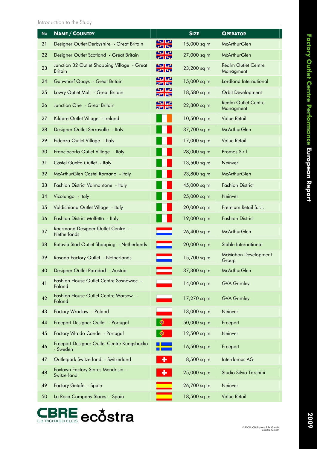| <b>No</b> | <b>NAME / COUNTRY</b>                                         |                                                | <b>SIZE</b> | <b>OPERATOR</b>                         |
|-----------|---------------------------------------------------------------|------------------------------------------------|-------------|-----------------------------------------|
| 21        | Designer Outlet Derbyshire - Great Britain                    | $\blacktriangleright$<br>O                     | 15,000 sq m | <b>McArthurGlen</b>                     |
| 22        | Designer Outlet Scotland - Great Britain                      | $\mathbb{\mathbb{Z}}$<br>$\blacktriangleright$ | 27,000 sq m | <b>McArthurGlen</b>                     |
| 23        | Junction 32 Outlet Shopping Village - Great<br><b>Britain</b> | $\square$<br>$\times$                          | 23,200 sq m | <b>Realm Outlet Centre</b><br>Managment |
| 24        | <b>Gunwharf Quays - Great Britain</b>                         | $\blacktriangleright$<br>O™                    | 15,000 sq m | Lordland International                  |
| 25        | Lowry Outlet Mall - Great Britain                             | $\blacktriangleright$<br><b>ZR</b>             | 18,580 sq m | <b>Orbit Development</b>                |
| 26        | Junction One - Great Britain                                  | N<br>$\bowtie \bowtie$                         | 22,800 sq m | <b>Realm Outlet Centre</b><br>Managment |
| 27        | Kildare Outlet Village - Ireland                              |                                                | 10,500 sq m | <b>Value Retail</b>                     |
| 28        | Designer Outlet Serravalle - Italy                            |                                                | 37,700 sq m | <b>McArthurGlen</b>                     |
| 29        | Fidenza Outlet Village - Italy                                |                                                | 17,000 sq m | <b>Value Retail</b>                     |
| 30        | Franciacorta Outlet Village - Italy                           |                                                | 28,000 sq m | Promos S.r.l.                           |
| 31        | Castel Guelfo Outlet - Italy                                  |                                                | 13,500 sq m | Neinver                                 |
| 32        | McArthurGlen Castel Romano - Italy                            |                                                | 23,800 sq m | <b>McArthurGlen</b>                     |
| 33        | Fashion District Valmontone - Italy                           |                                                | 45,000 sq m | <b>Fashion District</b>                 |
| 34        | Vicolungo - Italy                                             |                                                | 25,000 sq m | Neinver                                 |
| 35        | Valdichiana Outlet Village - Italy                            |                                                | 20,000 sq m | Premium Retail S.r.l.                   |
| 36        | Fashion District Molfetta - Italy                             |                                                | 19,000 sq m | <b>Fashion District</b>                 |
| 37        | Roermond Designer Outlet Centre -<br><b>Netherlands</b>       | ═                                              | 26,400 sq m | <b>McArthurGlen</b>                     |
| 38        | Batavia Stad Outlet Shopping - Netherlands                    | $\equiv$                                       | 20,000 sq m | Stable International                    |
| 39        | Rosada Factory Outlet - Netherlands                           |                                                | 15,700 sq m | <b>McMahon Development</b><br>Group     |
| 40        | Designer Outlet Parndorf - Austria                            |                                                | 37,300 sq m | <b>McArthurGlen</b>                     |
| 41        | <b>Fashion House Outlet Centre Sosnowiec -</b><br>Poland      |                                                | 14,000 sq m | <b>GVA Grimley</b>                      |
| 42        | Fashion House Outlet Centre Warsaw -<br>Poland                |                                                | 17,270 sq m | <b>GVA Grimley</b>                      |
| 43        | Factory Wroclaw - Poland                                      |                                                | 13,000 sq m | Neinver                                 |
| 44        | Freeport Designer Outlet - Portugal                           |                                                | 50,000 sq m | Freeport                                |
| 45        | Factory Vila do Conde - Portugal                              |                                                | 12,500 sq m | Neinver                                 |
| 46        | Freeport Designer Outlet Centre Kungsbacka<br>- Sweden        |                                                | 16,500 sq m | Freeport                                |
| 47        | Outletpark Switzerland - Switzerland                          |                                                | 8,500 sq m  | Interdomus AG                           |
| 48        | Foxtown Factory Stores Mendrisio -<br>Switzerland             |                                                | 25,000 sq m | Studio Silvio Tarchini                  |
| 49        | Factory Getafe - Spain                                        |                                                | 26,700 sq m | Neinver                                 |
| 50        | La Roca Company Stores - Spain                                |                                                | 18,500 sq m | <b>Value Retail</b>                     |

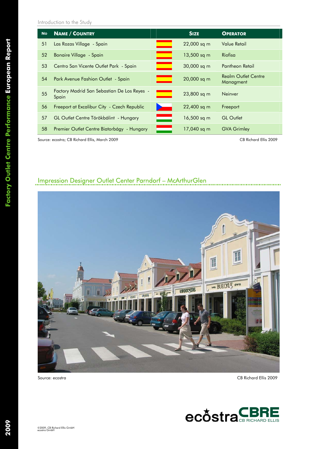Introduction to the Study

| <b>No</b> | <b>NAME / COUNTRY</b>                                |                          | <b>SIZE</b>   | <b>OPERATOR</b>                         |
|-----------|------------------------------------------------------|--------------------------|---------------|-----------------------------------------|
| 51        | Las Rozas Village - Spain                            |                          | 22,000 sq m   | Value Retail                            |
| 52        | Bonaire Village - Spain                              |                          | $13,500$ sq m | Riofisa                                 |
| 53        | Centro San Vicente Outlet Park - Spain               |                          | 30,000 sq m   | Pantheon Retail                         |
| 54        | Park Avenue Fashion Outlet - Spain                   |                          | 20,000 sq m   | <b>Realm Outlet Centre</b><br>Managment |
| 55        | Factory Madrid San Sebastian De Los Reyes -<br>Spain |                          | 23,800 sq m   | <b>Neinver</b>                          |
| 56        | Freeport at Excalibur City - Czech Republic          |                          | 22,400 sq m   | Freeport                                |
| 57        | GL Outlet Centre Törökbálint - Hungary               | $\overline{\phantom{a}}$ | $16,500$ sq m | <b>GL</b> Outlet                        |
| 58        | Premier Outlet Centre Biatorbágy - Hungary           |                          | 17,040 sq m   | <b>GVA Grimley</b>                      |

Source: ecostra; CB Richard Ellis, March 2009 CB Richard Ellis 2009

## Impression Designer Outlet Center Parndorf – McArthurGlen



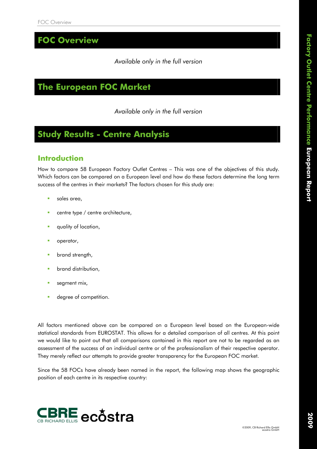**FOC Overview** 

#### *Available only in the full version*

## **The European FOC Market**

*Available only in the full version* 

## **Study Results - Centre Analysis**

#### **Introduction**

How to compare 58 European Factory Outlet Centres – This was one of the objectives of this study. Which factors can be compared on a European level and how do these factors determine the long term success of the centres in their markets? The factors chosen for this study are:

- sales area,
- centre type / centre architecture,
- quality of location,
- **p**operator,
- **•** brand strength,
- brand distribution,
- segment mix,
- **degree of competition.**

All factors mentioned above can be compared on a European level based on the European-wide statistical standards from EUROSTAT. This allows for a detailed comparison of all centres. At this point we would like to point out that all comparisons contained in this report are not to be regarded as an assessment of the success of an individual centre or of the professionalism of their respective operator. They merely reflect our attempts to provide greater transparency for the European FOC market.

Since the 58 FOCs have already been named in the report, the following map shows the geographic position of each centre in its respective country:

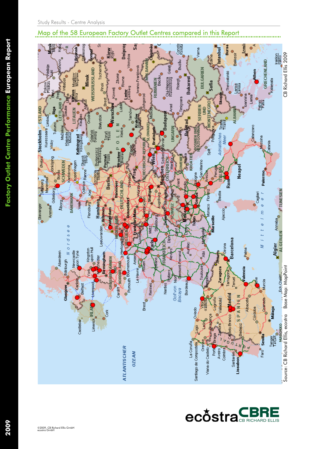#### Map of the 58 European Factory Outlet Centres compared in this Report



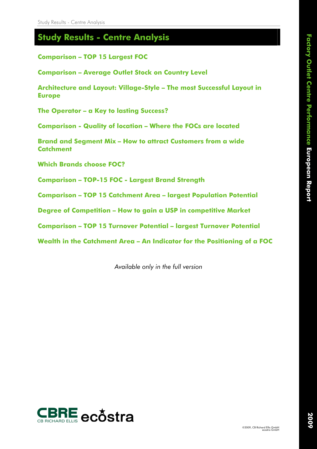### **Study Results - Centre Analysis**

**Comparison – TOP 15 Largest FOC** 

**Comparison – Average Outlet Stock on Country Level** 

**Architecture and Layout: Village-Style – The most Successful Layout in Europe** 

**The Operator – a Key to lasting Success?** 

**Comparison - Quality of location – Where the FOCs are located** 

**Brand and Segment Mix – How to attract Customers from a wide Catchment** 

**Which Brands choose FOC?** 

**Comparison – TOP-15 FOC - Largest Brand Strength** 

**Comparison – TOP 15 Catchment Area – largest Population Potential** 

**Degree of Competition – How to gain a USP in competitive Market** 

**Comparison – TOP 15 Turnover Potential – largest Turnover Potential** 

**Wealth in the Catchment Area – An Indicator for the Positioning of a FOC** 

*Available only in the full version* 

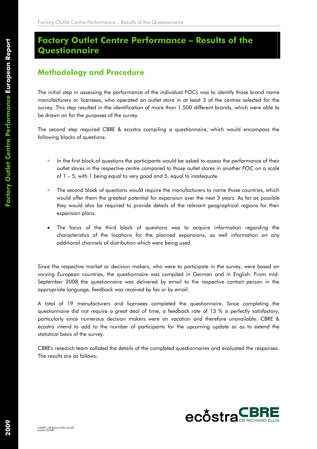## **Factory Outlet Centre Performance – Results of the Questionnaire**

### **Methodology and Procedure**

The initial step in assessing the performance of the individual FOCs was to identify those brand name manufacturers or licensees, who operated an outlet store in at least 3 of the centres selected for the survey. This step resulted in the identification of more than 1.500 different brands, which were able to be drawn on for the purposes of the survey.

The second step required CBRE & ecostra compiling a questionnaire, which would encompass the following blocks of questions:

- In the first block of questions the participants would be asked to assess the performance of their outlet stores in the respective centre compared to those outlet stores in another FOC on a scale of 1 – 5, with 1 being equal to very good and 5, equal to inadequate.
- The second block of questions would require the manufacturers to name those countries, which would offer them the greatest potential for expansion over the next 3 years. As far as possible they would also be required to provide details of the relevant geographical regions for their expansion plans.
- The focus of the third block of questions was to acquire information regarding the characteristics of the locations for the planned expansions, as well information on any additional channels of distribution which were being used.

Since the respective market or decision makers, who were to participate in the survey, were based on varying European countries, the questionnaire was compiled in German and in English. From mid-September 2008 the questionnaire was delivered by email to the respective contact person in the appropriate language, feedback was received by fax or by email.

A total of 19 manufacturers and licensees completed the questionnaire. Since completing the questionnaire did not require a great deal of time, a feedback rate of 13 % is perfectly satisfactory, particularly since numerous decision makers were on vacation and therefore unavailable. CBRE & ecostra intend to add to the number of participants for the upcoming update so as to extend the statistical basis of the survey.

CBRE's research team collated the details of the completed questionnaires and evaluated the responses. The results are as follows:

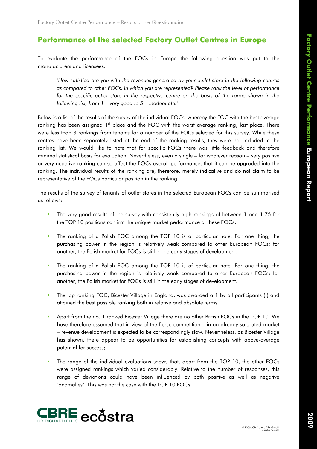#### **Performance of the selected Factory Outlet Centres in Europe**

To evaluate the performance of the FOCs in Europe the following question was put to the manufacturers and licensees:

*"How satisfied are you with the revenues generated by your outlet store in the following centres as compared to other FOCs, in which you are represented? Please rank the level of performance*  for the specific outlet store in the respective centre on the basis of the range shown in the *following list, from 1= very good to 5= inadequate."* 

Below is a list of the results of the survey of the individual FOCs, whereby the FOC with the best average ranking has been assigned 1<sup>st</sup> place and the FOC with the worst average ranking, last place. There were less than 3 rankings from tenants for a number of the FOCs selected for this survey. While these centres have been separately listed at the end of the ranking results, they were not included in the ranking list. We would like to note that for specific FOCs there was little feedback and therefore minimal statistical basis for evaluation. Nevertheless, even a single – for whatever reason – very positive or very negative ranking can so affect the FOCs overall performance, that it can be upgraded into the ranking. The individual results of the ranking are, therefore, merely indicative and do not claim to be representative of the FOCs particular position in the ranking.

The results of the survey of tenants of outlet stores in the selected European FOCs can be summarised as follows:

- The very good results of the survey with consistently high rankings of between 1 and 1.75 for the TOP 10 positions confirm the unique market performance of these FOCs;
- The ranking of a Polish FOC among the TOP 10 is of particular note. For one thing, the purchasing power in the region is relatively weak compared to other European FOCs; for another, the Polish market for FOCs is still in the early stages of development.
- The ranking of a Polish FOC among the TOP 10 is of particular note. For one thing, the purchasing power in the region is relatively weak compared to other European FOCs; for another, the Polish market for FOCs is still in the early stages of development.
- The top ranking FOC, Bicester Village in England, was awarded a 1 by all participants (!) and attained the best possible ranking both in relative and absolute terms.
- Apart from the no. 1 ranked Bicester Village there are no other British FOCs in the TOP 10. We have therefore assumed that in view of the fierce competition – in an already saturated market – revenue development is expected to be correspondingly slow. Nevertheless, as Bicester Village has shown, there appear to be opportunities for establishing concepts with above-average potential for success;
- The range of the individual evaluations shows that, apart from the TOP 10, the other FOCs were assigned rankings which varied considerably. Relative to the number of responses, this range of deviations could have been influenced by both positive as well as negative "anomalies". This was not the case with the TOP 10 FOCs.

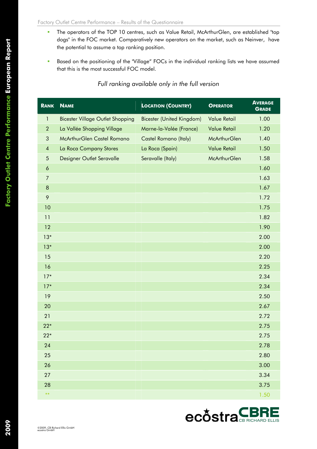- **The operators of the TOP 10 centres, such as Value Retail, McArthurGlen, are established "top** dogs" in the FOC market. Comparatively new operators on the market, such as Neinver, have the potential to assume a top ranking position.
- **Based on the positioning of the "Village" FOCs in the individual ranking lists we have assumed** that this is the most successful FOC model.

#### *Full ranking available only in the full version*

| <b>RANK</b>      | <b>NAME</b>                             | <b>LOCATION (COUNTRY)</b> | <b>OPERATOR</b>     | <b>AVERAGE</b><br><b>GRADE</b> |
|------------------|-----------------------------------------|---------------------------|---------------------|--------------------------------|
| $\mathbf{1}$     | <b>Bicester Village Outlet Shopping</b> | Bicester (United Kingdom) | <b>Value Retail</b> | 1.00                           |
| $\overline{2}$   | La Vallée Shopping Village              | Marne-la-Valée (France)   | <b>Value Retail</b> | 1.20                           |
| 3                | McArthurGlen Castel Romano              | Castel Romano (Italy)     | McArthurGlen        | 1.40                           |
| $\overline{4}$   | La Roca Company Stores                  | La Roca (Spain)           | <b>Value Retail</b> | 1.50                           |
| $\sqrt{5}$       | Designer Outlet Seravalle               | Seravalle (Italy)         | <b>McArthurGlen</b> | 1.58                           |
| $\boldsymbol{6}$ |                                         |                           |                     | 1.60                           |
| $\overline{7}$   |                                         |                           |                     | 1.63                           |
| $\, 8$           |                                         |                           |                     | 1.67                           |
| 9                |                                         |                           |                     | 1.72                           |
| 10               |                                         |                           |                     | 1.75                           |
| 11               |                                         |                           |                     | 1.82                           |
| 12               |                                         |                           |                     | 1.90                           |
| $13*$            |                                         |                           |                     | 2.00                           |
| $13*$            |                                         |                           |                     | 2.00                           |
| 15               |                                         |                           |                     | 2.20                           |
| 16               |                                         |                           |                     | 2.25                           |
| $17*$            |                                         |                           |                     | 2.34                           |
| $17*$            |                                         |                           |                     | 2.34                           |
| 19               |                                         |                           |                     | 2.50                           |
| 20               |                                         |                           |                     | 2.67                           |
| 21               |                                         |                           |                     | 2.72                           |
| $22*$            |                                         |                           |                     | 2.75                           |
| $22*$            |                                         |                           |                     | 2.75                           |
| 24               |                                         |                           |                     | 2.78                           |
| 25               |                                         |                           |                     | 2.80                           |
| 26               |                                         |                           |                     | 3.00                           |
| 27               |                                         |                           |                     | 3.34                           |
| 28               |                                         |                           |                     | 3.75                           |
| $**$             |                                         |                           |                     | 1.50                           |



©2009, CB Richard Ellis GmbH ecostra GmbH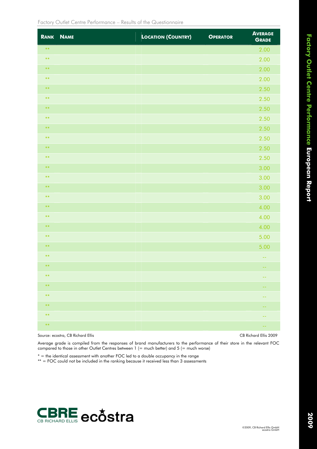| <b>RANK</b> | <b>NAME</b> | <b>LOCATION (COUNTRY)</b> | <b>OPERATOR</b> | <b>AVERAGE</b><br><b>GRADE</b> |
|-------------|-------------|---------------------------|-----------------|--------------------------------|
| $\ast\ast$  |             |                           |                 | 2.00                           |
| $***$       |             |                           |                 | 2.00                           |
| $***$       |             |                           |                 | 2.00                           |
| $\ast\ast$  |             |                           |                 | 2.00                           |
| $***$       |             |                           |                 | 2.50                           |
| $***$       |             |                           |                 | 2.50                           |
| $***$       |             |                           |                 | 2.50                           |
| $***$       |             |                           |                 | 2.50                           |
| $***$       |             |                           |                 | 2.50                           |
| $***$       |             |                           |                 | 2.50                           |
| $***$       |             |                           |                 | 2.50                           |
| $***$       |             |                           |                 | 2.50                           |
| $***$       |             |                           |                 | 3.00                           |
| $***$       |             |                           |                 | 3.00                           |
| $***$       |             |                           |                 | 3.00                           |
| $\ast\ast$  |             |                           |                 | 3.00                           |
| $***$       |             |                           |                 | 4.00                           |
| $***$       |             |                           |                 | 4.00                           |
| $***$       |             |                           |                 | 4.00                           |
| $***$       |             |                           |                 | 5.00                           |
| $***$       |             |                           |                 | 5.00                           |
| $***$       |             |                           |                 | $\sim$ $\sim$                  |
| $***$       |             |                           |                 |                                |
| $***$       |             |                           |                 | $- -$                          |
| $\ast\ast$  |             |                           |                 | --                             |
| $\ast\ast$  |             |                           |                 | $ -$                           |
| $***$       |             |                           |                 | --                             |
| $\ast\ast$  |             |                           |                 | $\overline{\phantom{m}}$       |
| $\ast\ast$  |             |                           |                 | $\sim$ $-$                     |

Source: ecostra, CB Richard Ellis CB Richard Ellis 2009

Average grade is compiled from the responses of brand manufacturers to the performance of their store in the relevant FOC compared to those in other Outlet Centres between  $1$  (= much better) and  $5$  (= much worse)

 $* =$  the identical assessment with another FOC led to a double occupancy in the range

\*\* = FOC could not be included in the ranking because it received less than 3 assessments

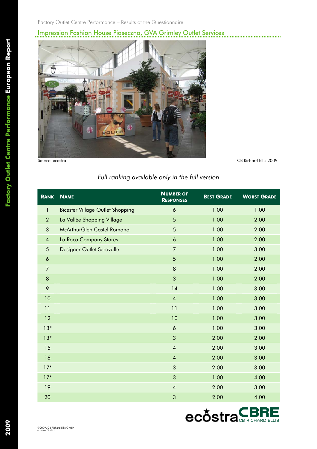## Impression Fashion House Piaseczno, GVA Grimley Outlet Services



#### *Full ranking available only in the full version*

| <b>RANK</b>             | <b>NAME</b>                             | <b>NUMBER OF</b><br><b>RESPONSES</b> | <b>BEST GRADE</b> | <b>WORST GRADE</b> |
|-------------------------|-----------------------------------------|--------------------------------------|-------------------|--------------------|
| $\mathbf{1}$            | <b>Bicester Village Outlet Shopping</b> | $\boldsymbol{6}$                     | 1.00              | 1.00               |
| $\overline{2}$          | La Vallée Shopping Village              | 5                                    | 1.00              | 2.00               |
| 3                       | McArthurGlen Castel Romano              | 5                                    | 1.00              | 2.00               |
| $\overline{\mathbf{4}}$ | La Roca Company Stores                  | $\ddot{\mathbf{6}}$                  | 1.00              | 2.00               |
| $\overline{5}$          | Designer Outlet Seravalle               | $\overline{7}$                       | 1.00              | 3.00               |
| $\boldsymbol{6}$        |                                         | 5                                    | 1.00              | 2.00               |
| $\overline{7}$          |                                         | 8                                    | 1.00              | 2.00               |
| $\bf 8$                 |                                         | 3                                    | 1.00              | 2.00               |
| 9                       |                                         | 14                                   | 1.00              | 3.00               |
| 10                      |                                         | $\overline{\mathbf{4}}$              | 1.00              | 3.00               |
| 11                      |                                         | 11                                   | 1.00              | 3.00               |
| 12                      |                                         | 10                                   | 1.00              | 3.00               |
| $13*$                   |                                         | $\ddot{\mathbf{6}}$                  | 1.00              | 3.00               |
| $13*$                   |                                         | 3                                    | 2.00              | 2.00               |
| 15                      |                                         | $\overline{4}$                       | 2.00              | 3.00               |
| 16                      |                                         | $\overline{4}$                       | 2.00              | 3.00               |
| $17*$                   |                                         | 3                                    | 2.00              | 3.00               |
| $17*$                   |                                         | 3                                    | 1.00              | 4.00               |
| 19                      |                                         | $\overline{\mathbf{4}}$              | 2.00              | 3.00               |
| 20                      |                                         | 3                                    | 2.00              | 4.00               |

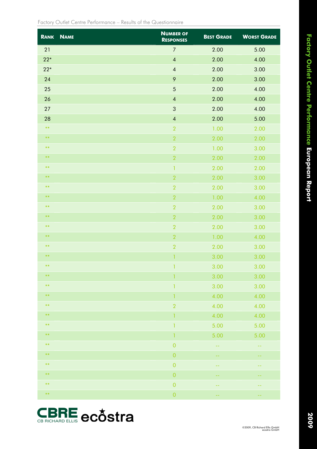| <b>RANK</b> | <b>NAME</b> | <b>NUMBER OF</b><br><b>RESPONSES</b> | <b>BEST GRADE</b> | <b>WORST GRADE</b> |
|-------------|-------------|--------------------------------------|-------------------|--------------------|
| 21          |             | $\boldsymbol{7}$                     | 2.00              | 5.00               |
| $22*$       |             | $\overline{4}$                       | 2.00              | 4.00               |
| $22*$       |             | $\overline{\mathbf{4}}$              | 2.00              | 3.00               |
| 24          |             | $\mathsf{P}$                         | 2.00              | 3.00               |
| 25          |             | $\sqrt{5}$                           | 2.00              | 4.00               |
| 26          |             | $\overline{\mathbf{4}}$              | 2.00              | 4.00               |
| 27          |             | $\sqrt{3}$                           | 2.00              | 4.00               |
| 28          |             | $\overline{\mathbf{4}}$              | 2.00              | 5.00               |
| $***$       |             | $\sqrt{2}$                           | 1.00              | 2.00               |
| $***$       |             | $\sqrt{2}$                           | 2.00              | 2.00               |
| $***$       |             | $\sqrt{2}$                           | 1.00              | 3.00               |
| $***$       |             | $\sqrt{2}$                           | 2.00              | 2.00               |
| $***$       |             | $\mathbf{1}$                         | 2.00              | 2.00               |
| $***$       |             | $\overline{\mathbf{2}}$              | 2.00              | 3.00               |
| $***$       |             | $\sqrt{2}$                           | 2.00              | 3.00               |
| $***$       |             | $\sqrt{2}$                           | 1.00              | 4.00               |
| $***$       |             | $\overline{2}$                       | 2.00              | 3.00               |
| $***$       |             | $\sqrt{2}$                           | 2.00              | 3.00               |
| $***$       |             | $\sqrt{2}$                           | 2.00              | 3.00               |
| $***$       |             | $\sqrt{2}$                           | 1.00              | 4.00               |
| $***$       |             | $\overline{2}$                       | 2.00              | 3.00               |
| $***$       |             | $\mathbf{1}$                         | 3.00              | 3.00               |
| $***$       |             | $\blacklozenge$                      | 3.00              | 3.00               |
| $***$       |             | 1                                    | 3.00              | 3.00               |
| $***$       |             | $\mathbf{1}$                         | 3.00              | 3.00               |
| $***$       |             | 1                                    | 4.00              | 4.00               |
| $***$       |             | $\sqrt{2}$                           | 4.00              | 4.00               |
| $***$       |             | 1                                    | 4.00              | 4.00               |
| $***$       |             | $\mathbf{1}$                         | 5.00              | 5.00               |
| $\ast\ast$  |             | 1                                    | 5.00              | 5.00               |
| $***$       |             | $\boldsymbol{0}$                     | 44                | --                 |
| $\ast\ast$  |             | $\boldsymbol{0}$                     | 44                | --                 |
| $***$       |             | $\boldsymbol{0}$                     | --                | --                 |
| $***$       |             | $\boldsymbol{0}$                     | --                | --                 |
| $***$       |             | $\boldsymbol{0}$                     | --                | --                 |
| $\ast\ast$  |             | $\boldsymbol{0}$                     | --                | --                 |



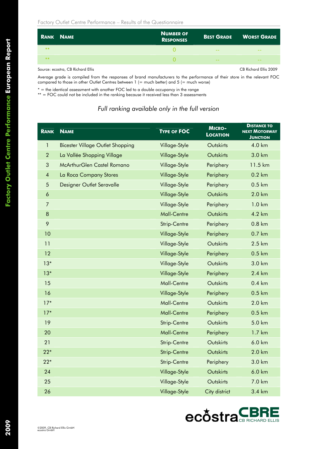|      | <b>RANK NAME</b> | <b>NUMBER OF</b><br><b>RESPONSES</b> |       | BEST GRADE WORST GRADE |
|------|------------------|--------------------------------------|-------|------------------------|
| $**$ |                  |                                      | $ -$  | $- -$                  |
| $**$ |                  |                                      | $- -$ | $- -$                  |
|      |                  |                                      |       |                        |

Source: ecostra, CB Richard Ellis CB Richard Ellis 2009

Average grade is compiled from the responses of brand manufacturers to the performance of their store in the relevant FOC compared to those in other Outlet Centres between  $1$  (= much better) and  $5$  (= much worse)

\* = the identical assessment with another FOC led to a double occupancy in the range

\*\* = FOC could not be included in the ranking because it received less than 3 assessments

#### *Full ranking available only in the full version*

| <b>RANK</b>              | <b>NAME</b>                             | <b>TYPE OF FOC</b> | <b>MICRO-</b><br><b>LOCATION</b> | <b>DISTANCE TO</b><br><b>NEXT MOTORWAY</b><br>JUNCTION |
|--------------------------|-----------------------------------------|--------------------|----------------------------------|--------------------------------------------------------|
| 1                        | <b>Bicester Village Outlet Shopping</b> | Village-Style      | Outskirts                        | 4.0 km                                                 |
| $\overline{2}$           | La Vallée Shopping Village              | Village-Style      | Outskirts                        | 3.0 km                                                 |
| 3                        | McArthurGlen Castel Romano              | Village-Style      | Periphery                        | 11.5 km                                                |
| $\overline{\mathcal{A}}$ | La Roca Company Stores                  | Village-Style      | Periphery                        | $0.2 \text{ km}$                                       |
| 5                        | Designer Outlet Seravalle               | Village-Style      | Periphery                        | 0.5 km                                                 |
| $\boldsymbol{6}$         |                                         | Village-Style      | Outskirts                        | 2.0 km                                                 |
| $\overline{7}$           |                                         | Village-Style      | Periphery                        | 1.0 km                                                 |
| $\bf 8$                  |                                         | <b>Mall-Centre</b> | Outskirts                        | 4.2 km                                                 |
| 9                        |                                         | Strip-Centre       | Periphery                        | 0.8 km                                                 |
| 10                       |                                         | Village-Style      | Periphery                        | 0.7 km                                                 |
| 11                       |                                         | Village-Style      | Outskirts                        | 2.5 km                                                 |
| 12                       |                                         | Village-Style      | Periphery                        | 0.5 km                                                 |
| $13*$                    |                                         | Village-Style      | Outskirts                        | 3.0 km                                                 |
| $13*$                    |                                         | Village-Style      | Periphery                        | 2.4 km                                                 |
| 15                       |                                         | <b>Mall-Centre</b> | Outskirts                        | $0.4 \text{ km}$                                       |
| 16                       |                                         | Village-Style      | Periphery                        | 0.5 km                                                 |
| $17*$                    |                                         | Mall-Centre        | Outskirts                        | 2.0 km                                                 |
| $17*$                    |                                         | <b>Mall-Centre</b> | Periphery                        | 0.5 km                                                 |
| 19                       |                                         | Strip-Centre       | Outskirts                        | 5.0 km                                                 |
| 20                       |                                         | <b>Mall-Centre</b> | Periphery                        | 1.7 km                                                 |
| 21                       |                                         | Strip-Centre       | Outskirts                        | 6.0 km                                                 |
| $22*$                    |                                         | Strip-Centre       | Outskirts                        | 2.0 km                                                 |
| $22*$                    |                                         | Strip-Centre       | Periphery                        | 3.0 km                                                 |
| 24                       |                                         | Village-Style      | Outskirts                        | 6.0 km                                                 |
| 25                       |                                         | Village-Style      | Outskirts                        | 7.0 km                                                 |
| 26                       |                                         | Village-Style      | City district                    | 3.4 km                                                 |



2009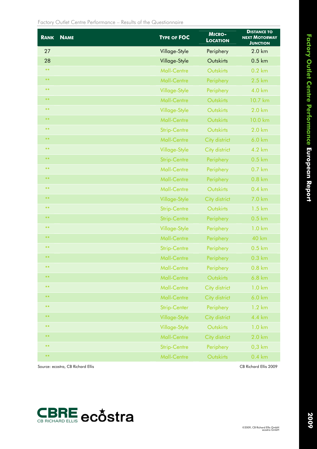**Factory Outlet Centre Performance European Report** 

| <b>RANK</b> | <b>NAME</b> | <b>TYPE OF FOC</b>  | <b>MICRO-</b><br><b>LOCATION</b> | <b>DISTANCE TO</b><br><b>NEXT MOTORWAY</b><br><b>JUNCTION</b> |
|-------------|-------------|---------------------|----------------------------------|---------------------------------------------------------------|
| 27          |             | Village-Style       | Periphery                        | 2.0 km                                                        |
| 28          |             | Village-Style       | Outskirts                        | 0.5 km                                                        |
| $***$       |             | Mall-Centre         | Outskirts                        | $0.2 \text{ km}$                                              |
| $***$       |             | <b>Mall-Centre</b>  | Periphery                        | 2.5 km                                                        |
| $***$       |             | Village-Style       | Periphery                        | 4.0 km                                                        |
| $***$       |             | <b>Mall-Centre</b>  | Outskirts                        | 10.7 km                                                       |
| $***$       |             | Village-Style       | Outskirts                        | 2.0 km                                                        |
| $***$       |             | <b>Mall-Centre</b>  | Outskirts                        | 10.0 km                                                       |
| $***$       |             | <b>Strip-Centre</b> | Outskirts                        | 2.0 km                                                        |
| $***$       |             | <b>Mall-Centre</b>  | City district                    | 6.0 km                                                        |
| $***$       |             | Village-Style       | City district                    | 4.2 km                                                        |
| $***$       |             | <b>Strip-Centre</b> | Periphery                        | 0.5 km                                                        |
| $***$       |             | Mall-Centre         | Periphery                        | 0.7 km                                                        |
| **          |             | <b>Mall-Centre</b>  | Periphery                        | 0.8 km                                                        |
| $***$       |             | <b>Mall-Centre</b>  | Outskirts                        | 0.4 km                                                        |
| $***$       |             | Village-Style       | City district                    | 7.0 km                                                        |
| $***$       |             | <b>Strip-Centre</b> | Outskirts                        | 1.5 km                                                        |
| $***$       |             | <b>Strip-Centre</b> | Periphery                        | 0.5 km                                                        |
| $***$       |             | Village-Style       | Periphery                        | 1.0 km                                                        |
| $***$       |             | <b>Mall-Centre</b>  | Periphery                        | <b>40 km</b>                                                  |
| $***$       |             | <b>Strip-Centre</b> | Periphery                        | 0.5 km                                                        |
| $***$       |             | <b>Mall-Centre</b>  | Periphery                        | 0.3 km                                                        |
| $***$       |             | <b>Mall-Centre</b>  | <b>Periphery</b>                 | $0.8 \text{ km}$                                              |
| **          |             | <b>Mall-Centre</b>  | Outskirts                        | 6.8 km                                                        |
| $***$       |             | <b>Mall-Centre</b>  | City district                    | 1.0 km                                                        |
| **          |             | <b>Mall-Centre</b>  | City district                    | 6.0 km                                                        |
| $***$       |             | Strip-Center        | Periphery                        | $1.2 \text{ km}$                                              |
| $***$       |             | Village-Style       | City district                    | 4.4 km                                                        |
| $***$       |             | Village-Style       | Outskirts                        | $1.0 \mathrm{km}$                                             |
| $***$       |             | Mall-Centre         | City district                    | 2.0 km                                                        |
| $***$       |             | <b>Strip-Centre</b> | Periphery                        | $0,3$ km                                                      |
| $***$       |             | Mall-Centre         | Outskirts                        | $0.4 \text{ km}$                                              |

Source: ecostra, CB Richard Ellis 2009 CB Richard Ellis 2009

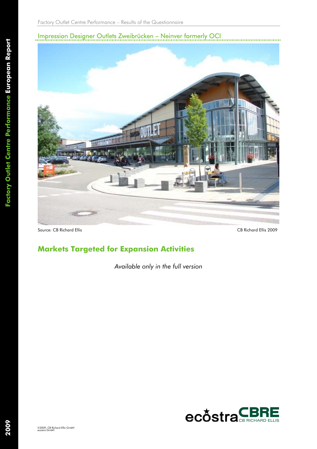### Impression Designer Outlets Zweibrücken – Neinver formerly OCI



Source: CB Richard Ellis 2009 CB Richard Ellis 2009

## **Markets Targeted for Expansion Activities**

*Available only in the full version* 

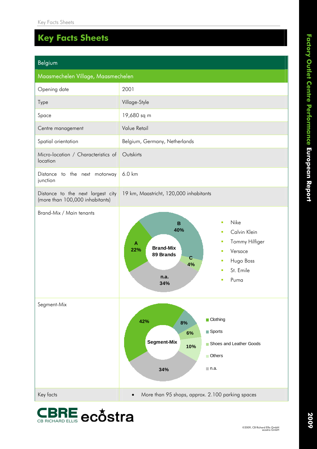#### **CBRE** ecostra Belgium Maasmechelen Village, Maasmechelen Opening date 2001 Type **Village-Style** Space 19,680 sq m Centre management Value Retail Spatial orientation **Belgium, Germany, Netherlands** Micro-location / Characteristics of location **Outskirts** Distance to the next motorway junction 6.0 km Distance to the next largest city (more than 100,000 inhabitants) 19 km, Maastricht, 120,000 inhabitants Brand-Mix / Main tenants **Brand-Mix 89 Brands A 22% B 40% C 4% n.a. 34% Nike**  Calvin Klein Tommy Hilfiger Versace Hugo Boss St. Emile Puma Segment-Mix **Segment-Mix 42% 8% 6% 10% 34% Clothing Sports** Shoes and Leather Goods **Others** n.a. Key facts • More than 95 shops, approx. 2.100 parking spaces

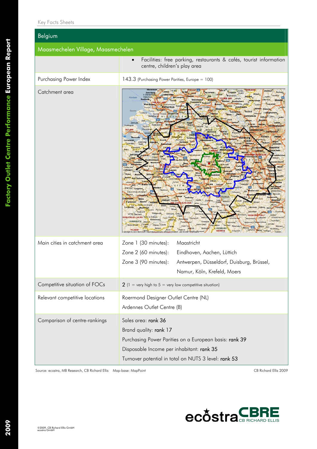| Belgium                            |                                                                                                                                                                                                                                                                                                                                                                                                                                                                                                                                                                                                                                                                                                                                                                                                                                                                                                                                                                                                                                                                                                                                                                                                                                                      |  |  |  |  |
|------------------------------------|------------------------------------------------------------------------------------------------------------------------------------------------------------------------------------------------------------------------------------------------------------------------------------------------------------------------------------------------------------------------------------------------------------------------------------------------------------------------------------------------------------------------------------------------------------------------------------------------------------------------------------------------------------------------------------------------------------------------------------------------------------------------------------------------------------------------------------------------------------------------------------------------------------------------------------------------------------------------------------------------------------------------------------------------------------------------------------------------------------------------------------------------------------------------------------------------------------------------------------------------------|--|--|--|--|
| Maasmechelen Village, Maasmechelen |                                                                                                                                                                                                                                                                                                                                                                                                                                                                                                                                                                                                                                                                                                                                                                                                                                                                                                                                                                                                                                                                                                                                                                                                                                                      |  |  |  |  |
|                                    | Facilities: free parking, restaurants & cafés, tourist information<br>$\bullet$<br>centre, children's play area                                                                                                                                                                                                                                                                                                                                                                                                                                                                                                                                                                                                                                                                                                                                                                                                                                                                                                                                                                                                                                                                                                                                      |  |  |  |  |
| Purchasing Power Index             | 143.3 (Purchasing Power Parities, Europe = 100)                                                                                                                                                                                                                                                                                                                                                                                                                                                                                                                                                                                                                                                                                                                                                                                                                                                                                                                                                                                                                                                                                                                                                                                                      |  |  |  |  |
| Catchment area                     | Steinfurt<br>Loche<br>Zutphen<br>Legder<br>Nordse<br>Zelher<br><b>lerbeck</b><br><b>Munsta</b><br>Doetinchen<br>Coesfeld<br><b>DOCK</b><br>totterdam<br>Lmmerich<br>Ouddorp<br>Doubecht<br>Waard<br>Hoekse<br>Middelhistr<br>.n<br><b>R/L</b><br>$N-1$<br>Haltern<br><b>Goch</b><br>Voorde<br>Herten<br><b>Boxte</b><br>Tholen<br>Omslaken<br><b>Haure</b><br><b>SLLLAIRE</b><br>Memekár<br>Gelsenkirchen portmund<br>Essen<br><b>Ouisburg</b><br>terksplast<br>Terneuzen<br>Zaamslad<br>Turnhout<br><b>Juenueke</b><br>Hulst<br><b>Wuppertal</b><br><b>Dusseld</b><br><b>N.WESTFALER</b><br>mborn<br>n <del>mersbach</del><br>Wiebl<br>Lilze<br><b>Brusse</b><br>qustin<br>tonse Sint Pie<br>Braine l'A<br>lechernich<br>Stratter/sw<br>Clayler<br>Chatelet Florette<br>Condroz <sup>1</sup><br>ameries<br>Char<br><b>RLGION</b><br>Mon Tohogre<br>Anhéi<br>Pétit-Thie<br>Saint-Vitt<br><b>Blainont</b> Celler<br>esborn RISLING AND PT ALZ<br>Givens<br>Gennte<br>Emmelshause<br>Mürinnbachur<br>Manenbourg<br><b>FRANKREICH</b><br>Glacieci<br>Neidenbach Mascien<br><b>Wearweile</b><br>I ounties<br>heck, Handi<br><b>Ritteri</b><br>Biburg Mo<br><b>LUXEMBURG</b><br>Rièze<br>Bosto<br>Revin<br><b>Enticines</b><br>cont Chronations red index |  |  |  |  |
| Main cities in catchment area      | Zone 1 (30 minutes):<br>Maastricht<br>Zone 2 (60 minutes):<br>Eindhoven, Aachen, Lüttich<br>Zone 3 (90 minutes):<br>Antwerpen, Düsseldorf, Duisburg, Brüssel,<br>Namur, Köln, Krefeld, Moers                                                                                                                                                                                                                                                                                                                                                                                                                                                                                                                                                                                                                                                                                                                                                                                                                                                                                                                                                                                                                                                         |  |  |  |  |
| Competitive situation of FOCs      | 2 (1 = very high to $5$ = very low competitive situation)                                                                                                                                                                                                                                                                                                                                                                                                                                                                                                                                                                                                                                                                                                                                                                                                                                                                                                                                                                                                                                                                                                                                                                                            |  |  |  |  |
| Relevant competitive locations     | Roermond Designer Outlet Centre (NL)<br>Ardennes Outlet Centre (B)                                                                                                                                                                                                                                                                                                                                                                                                                                                                                                                                                                                                                                                                                                                                                                                                                                                                                                                                                                                                                                                                                                                                                                                   |  |  |  |  |
| Comparison of centre-rankings      | Sales area: rank 36<br>Brand quality: rank 17<br>Purchasing Power Parities on a European basis: rank 39<br>Disposable Income per inhabitant: rank 35<br>Turnover potential in total on NUTS 3 level: rank 53                                                                                                                                                                                                                                                                                                                                                                                                                                                                                                                                                                                                                                                                                                                                                                                                                                                                                                                                                                                                                                         |  |  |  |  |

Source: ecostra, MB Research, CB Richard Ellis Map-base: MapPoint CB Richard Ellis 2009



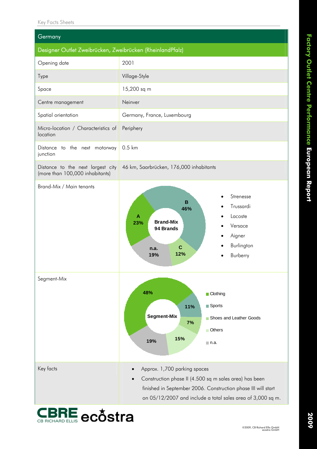| Germany                                                              |                                                                                                                                                                                                                                                  |  |  |  |  |
|----------------------------------------------------------------------|--------------------------------------------------------------------------------------------------------------------------------------------------------------------------------------------------------------------------------------------------|--|--|--|--|
| Designer Outlet Zweibrücken, Zweibrücken (RheinlandPfalz)            |                                                                                                                                                                                                                                                  |  |  |  |  |
| Opening date                                                         | 2001                                                                                                                                                                                                                                             |  |  |  |  |
| Type                                                                 | Village-Style                                                                                                                                                                                                                                    |  |  |  |  |
| Space                                                                | 15,200 sq m                                                                                                                                                                                                                                      |  |  |  |  |
| Centre management                                                    | Neinver                                                                                                                                                                                                                                          |  |  |  |  |
| Spatial orientation                                                  | Germany, France, Luxembourg                                                                                                                                                                                                                      |  |  |  |  |
| Micro-location / Characteristics of<br>location                      | Periphery                                                                                                                                                                                                                                        |  |  |  |  |
| Distance to the next motorway<br>junction                            | 0.5 km                                                                                                                                                                                                                                           |  |  |  |  |
| Distance to the next largest city<br>(more than 100,000 inhabitants) | 46 km, Saarbrücken, 176,000 inhabitants                                                                                                                                                                                                          |  |  |  |  |
| Brand-Mix / Main tenants                                             | Strenesse<br>B<br>Trussardi<br>46%<br>Lacoste<br>A<br><b>Brand-Mix</b><br>23%<br>Versace<br>94 Brands<br>Aigner<br>Burlington<br>$\mathbf C$<br>n.a.<br>12%<br>19%<br>Burberry                                                                   |  |  |  |  |
| Segment-Mix                                                          | 48%<br><b>Clothing</b><br>Sports<br>11%<br><b>Segment-Mix</b><br>Shoes and Leather Goods<br>7%<br><b>Others</b><br>15%<br>19%<br>$\blacksquare$ n.a.                                                                                             |  |  |  |  |
| Key facts                                                            | Approx. 1,700 parking spaces<br>$\bullet$<br>Construction phase II (4.500 sq m sales area) has been<br>$\bullet$<br>finished in September 2006. Construction phase III will start<br>on 05/12/2007 and include a total sales area of 3,000 sq m. |  |  |  |  |

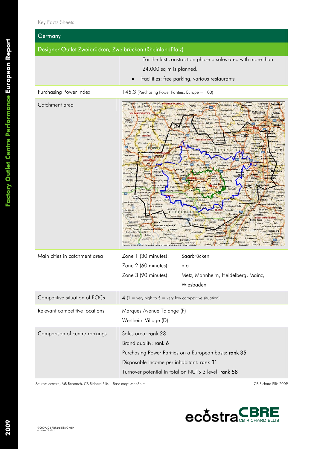| Germany                                                   |                                                                                                                                                                                                                                                                                                                                                                                                                                                                                                                                                                                                                                                                                                                                                                                                                                                                                                                                                                                                                                                                                                                                                                                                                                                                                                                                                                                                                                                                                                                                                                                                                                                                                                                                                                                                                                                                                                                                                                                                                                                                                                                                                                                                                                                                                                                                                                                                                                                                                                                                                                                                                                                                                                                                                                                                                                                                                                |  |  |  |  |
|-----------------------------------------------------------|------------------------------------------------------------------------------------------------------------------------------------------------------------------------------------------------------------------------------------------------------------------------------------------------------------------------------------------------------------------------------------------------------------------------------------------------------------------------------------------------------------------------------------------------------------------------------------------------------------------------------------------------------------------------------------------------------------------------------------------------------------------------------------------------------------------------------------------------------------------------------------------------------------------------------------------------------------------------------------------------------------------------------------------------------------------------------------------------------------------------------------------------------------------------------------------------------------------------------------------------------------------------------------------------------------------------------------------------------------------------------------------------------------------------------------------------------------------------------------------------------------------------------------------------------------------------------------------------------------------------------------------------------------------------------------------------------------------------------------------------------------------------------------------------------------------------------------------------------------------------------------------------------------------------------------------------------------------------------------------------------------------------------------------------------------------------------------------------------------------------------------------------------------------------------------------------------------------------------------------------------------------------------------------------------------------------------------------------------------------------------------------------------------------------------------------------------------------------------------------------------------------------------------------------------------------------------------------------------------------------------------------------------------------------------------------------------------------------------------------------------------------------------------------------------------------------------------------------------------------------------------------------|--|--|--|--|
| Designer Outlet Zweibrücken, Zweibrücken (RheinlandPfalz) |                                                                                                                                                                                                                                                                                                                                                                                                                                                                                                                                                                                                                                                                                                                                                                                                                                                                                                                                                                                                                                                                                                                                                                                                                                                                                                                                                                                                                                                                                                                                                                                                                                                                                                                                                                                                                                                                                                                                                                                                                                                                                                                                                                                                                                                                                                                                                                                                                                                                                                                                                                                                                                                                                                                                                                                                                                                                                                |  |  |  |  |
|                                                           | For the last construction phase a sales area with more than<br>24,000 sq m is planned.<br>Facilities: free parking, various restaurants                                                                                                                                                                                                                                                                                                                                                                                                                                                                                                                                                                                                                                                                                                                                                                                                                                                                                                                                                                                                                                                                                                                                                                                                                                                                                                                                                                                                                                                                                                                                                                                                                                                                                                                                                                                                                                                                                                                                                                                                                                                                                                                                                                                                                                                                                                                                                                                                                                                                                                                                                                                                                                                                                                                                                        |  |  |  |  |
| Purchasing Power Index                                    | 145.3 (Purchasing Power Parities, Europe = 100)                                                                                                                                                                                                                                                                                                                                                                                                                                                                                                                                                                                                                                                                                                                                                                                                                                                                                                                                                                                                                                                                                                                                                                                                                                                                                                                                                                                                                                                                                                                                                                                                                                                                                                                                                                                                                                                                                                                                                                                                                                                                                                                                                                                                                                                                                                                                                                                                                                                                                                                                                                                                                                                                                                                                                                                                                                                |  |  |  |  |
| Catchment area                                            | Ferrieres<br><b>RURHLIN-WESTFALEN</b><br>Obermorlen<br><b>Bad Hauhein</b><br>Durbuy<br><b>Coblenz</b> <del>Birlinhach</del><br>amburg a<br>Rusbach vor<br>Grand-Halleu<br><b>Triedberg</b><br>der Hohe<br>Erezee<br>kelberg<br><b>Abderlahmstein</b><br>Hahnsti<br><b>Uad Homburg</b><br>Karben<br><b>WAL INDIRECHE REGION</b><br><b>Bleisl</b><br>Singhofen<br>vor der Höhr<br><b>Eloboard</b><br><b>Buchho</b><br>Wollergiz<br>Bruchkobel<br><b>BE</b><br><b>Oberursel</b><br>Schonecker<br>Sankt Goars<br>Müntento<br>Haleu<br>Frankfurt/Main<br>eunusstein<br>4.481<br>Champion<br><b>Bellivein</b><br>Waxwelle<br>Offenbach<br><b>Neu-Isenburg</b><br>Lavacher<br>sostninun<br><b>Muerburg</b><br>orch<br>Fineinboile<br><b>Mainz</b><br>Sten<br>Stolzenbourg<br>elbereb<br>mark<br>Spand<br><b>Bitter</b><br>gen am Rhein<br>Könser<br>DIEKIRCH<br><b>DETAILS</b><br>Orenhot<br><b>Bodenheim</b><br>Germand<br>Bercheur<br><b>Dieidrich</b><br>Griesheim<br><b>RHFBIL AND PI</b><br>Wallhas<br><b>Bad Kreuznac</b><br>nstadt<br>lochst<br>Oberh<br>Oberteule<br>Riedstadt<br>Léglise<br>Breuben<br>Pfungstad<br>Morbach<br>FAI<br>Gau Oderutier<br>LUXEMBURG<br><b>Rodat</b><br>Arlies<br>Kin<br>Finchbach<br>Seeheim Jugetin<br><b>Bad Köre</b><br>DEUT<br>L A B<br>vesthoten<br>Tintso<br>dar-Oberstein<br>With<br><b>Bellefontaine</b><br>Luxemburg<br><b>Task</b><br>Soorburg<br>Norinv<br>Serrig<br>Olsbrück<br>Bouveau Divine<br>coshern<br>1962.<br>Reicherioach<br>Mannheim<br>Mchlinge<br>St. Wendel<br>Longuyo<br>60 min<br>lauter<br>Hettenge-<br>fercy-le-Bas<br><b>Betkings</b><br>Audun-le<br>Hocke<br><b>Elouilian</b><br>ange-arz<br>Rombas<br>Marance-Silvar<br>Abaucaurt<br>brucken<br><b>Boulav-M</b><br>Зепята<br><b>Jarro</b><br><b>Rippy</b><br><b>Dury</b><br>seville-lès-Metz<br>Suizfel<br>sur-Moselle<br>Gücünan<br>Mosellé<br>etten<br>Isruhe<br>Verny<br>Goetzenbruck Drachenb<br>ncrobi-sur-Mi<br>Rheimstedten<br>tur-Monet<br>Valbois<br>Eberbach Seltz<br>A-A-Mourenor<br>xzheim<br>Morhange<br><b>ILSASS</b><br>Soint-Mihin<br>Betschulder<br>Ebrirolinge<br><b>RANK</b><br>E 1 0<br>dimology/<br>Engelsbrand<br>Druingen<br>hutest<br>Haguena<br>Beles-Foreta<br>Lérouville<br>pgenau<br>/ic-sur-Selle<br>Commercy<br><b>DEN WÜRTTEM</b><br>Champignisulle<br>Maichings<br>Sarrebourg<br>Bad<br>Champenous<br>Vold-Vacor<br>Saverne<br><b>Buh</b><br>Tenach<br><b>Calve</b><br>orbach"<br><b>Vandœuvre lès Hanc</b><br>Marmoutin<br>Tout<br>Neubulach<br>Achern<br><b>Finny</b><br>Dombacle<br>Sim<br>ersfeld<br>Renchen<br>Kehl<br>Atenateig <sup>®</sup> Herrenberg<br><b>Badonvillers-G</b><br>al et Childion<br>Molsheim Straßburg<br>Nagold Amnerbuch<br>elevéhren<br>Pulligny<br>Ilkirch-Graffenstaden<br><b>Rottenburg</b><br><b>Offenburg</b><br>Aznis<br>Gerbeyl<br>egershein<br><b>Baccarat</b><br>Wot<br>Hoch arr<br>Raon-ritege<br>Libratur |  |  |  |  |
| Main cities in catchment area                             | Zone 1 (30 minutes):<br>Saarbrücken<br>Zone 2 (60 minutes):<br>n.a.<br>Zone 3 (90 minutes):<br>Metz, Mannheim, Heidelberg, Mainz,<br>Wiesbaden                                                                                                                                                                                                                                                                                                                                                                                                                                                                                                                                                                                                                                                                                                                                                                                                                                                                                                                                                                                                                                                                                                                                                                                                                                                                                                                                                                                                                                                                                                                                                                                                                                                                                                                                                                                                                                                                                                                                                                                                                                                                                                                                                                                                                                                                                                                                                                                                                                                                                                                                                                                                                                                                                                                                                 |  |  |  |  |
| Competitive situation of FOCs                             | 4 (1 = very high to 5 = very low competitive situation)                                                                                                                                                                                                                                                                                                                                                                                                                                                                                                                                                                                                                                                                                                                                                                                                                                                                                                                                                                                                                                                                                                                                                                                                                                                                                                                                                                                                                                                                                                                                                                                                                                                                                                                                                                                                                                                                                                                                                                                                                                                                                                                                                                                                                                                                                                                                                                                                                                                                                                                                                                                                                                                                                                                                                                                                                                        |  |  |  |  |
| Relevant competitive locations                            | Marques Avenue Talange (F)<br>Wertheim Village (D)                                                                                                                                                                                                                                                                                                                                                                                                                                                                                                                                                                                                                                                                                                                                                                                                                                                                                                                                                                                                                                                                                                                                                                                                                                                                                                                                                                                                                                                                                                                                                                                                                                                                                                                                                                                                                                                                                                                                                                                                                                                                                                                                                                                                                                                                                                                                                                                                                                                                                                                                                                                                                                                                                                                                                                                                                                             |  |  |  |  |
| Comparison of centre-rankings                             | Sales area: rank 23<br>Brand quality: rank 6<br>Purchasing Power Parities on a European basis: rank 35<br>Disposable Income per inhabitant: rank 31<br>Turnover potential in total on NUTS 3 level: rank 58                                                                                                                                                                                                                                                                                                                                                                                                                                                                                                                                                                                                                                                                                                                                                                                                                                                                                                                                                                                                                                                                                                                                                                                                                                                                                                                                                                                                                                                                                                                                                                                                                                                                                                                                                                                                                                                                                                                                                                                                                                                                                                                                                                                                                                                                                                                                                                                                                                                                                                                                                                                                                                                                                    |  |  |  |  |

Source: ecostra, MB Research, CB Richard Ellis Base map: MapPoint CB Richard Ellis 2009

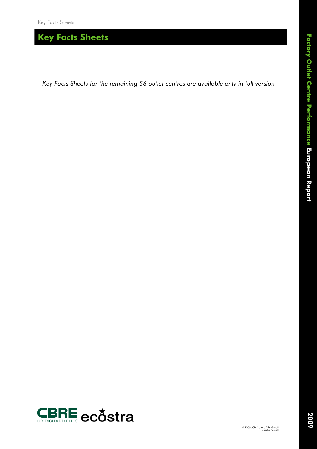*Key Facts Sheets for the remaining 56 outlet centres are available only in full version*